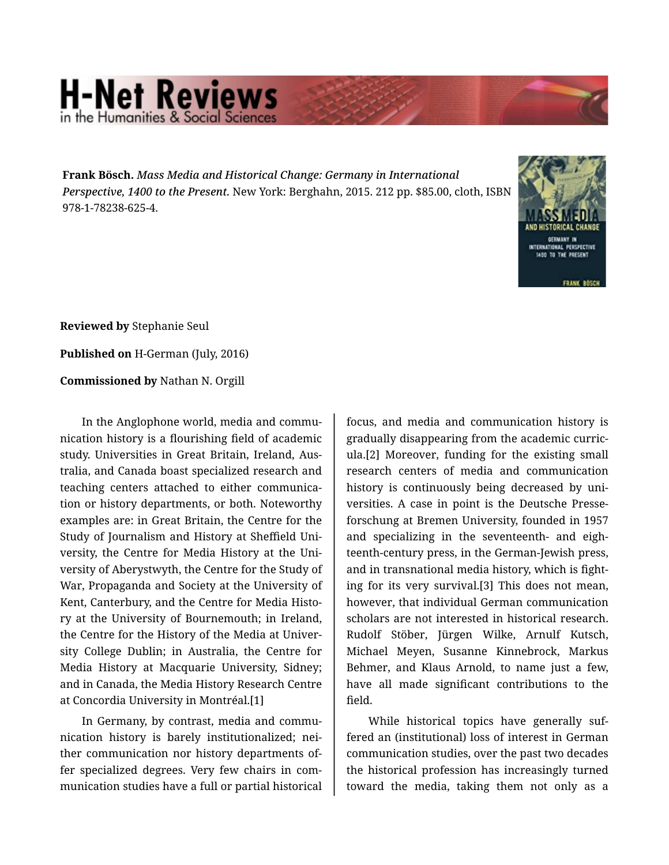## **H-Net Reviews** in the Humanities & Social S

**Frank Bösch.** *Mass Media and Historical Change: Germany in International Perspective, 1400 to the Present.* New York: Berghahn, 2015. 212 pp. \$85.00, cloth, ISBN 978-1-78238-625-4.



**Reviewed by** Stephanie Seul

**Published on** H-German (July, 2016)

**Commissioned by** Nathan N. Orgill

In the Anglophone world, media and communication history is a flourishing field of academic study. Universities in Great Britain, Ireland, Aus‐ tralia, and Canada boast specialized research and teaching centers attached to either communica‐ tion or history departments, or both. Noteworthy examples are: in Great Britain, the Centre for the Study of Journalism and History at Sheffield Uni‐ versity, the Centre for Media History at the Uni‐ versity of Aberystwyth, the Centre for the Study of War, Propaganda and Society at the University of Kent, Canterbury, and the Centre for Media Histo‐ ry at the University of Bournemouth; in Ireland, the Centre for the History of the Media at Univer‐ sity College Dublin; in Australia, the Centre for Media History at Macquarie University, Sidney; and in Canada, the Media History Research Centre at Concordia University in Montréal.[1]

In Germany, by contrast, media and commu‐ nication history is barely institutionalized; nei‐ ther communication nor history departments of‐ fer specialized degrees. Very few chairs in com‐ munication studies have a full or partial historical

focus, and media and communication history is gradually disappearing from the academic curric‐ ula.[2] Moreover, funding for the existing small research centers of media and communication history is continuously being decreased by uni‐ versities. A case in point is the Deutsche Presse‐ forschung at Bremen University, founded in 1957 and specializing in the seventeenth- and eigh‐ teenth-century press, in the German-Jewish press, and in transnational media history, which is fight‐ ing for its very survival.[3] This does not mean, however, that individual German communication scholars are not interested in historical research. Rudolf Stöber, Jürgen Wilke, Arnulf Kutsch, Michael Meyen, Susanne Kinnebrock, Markus Behmer, and Klaus Arnold, to name just a few, have all made significant contributions to the field.

While historical topics have generally suffered an (institutional) loss of interest in German communication studies, over the past two decades the historical profession has increasingly turned toward the media, taking them not only as a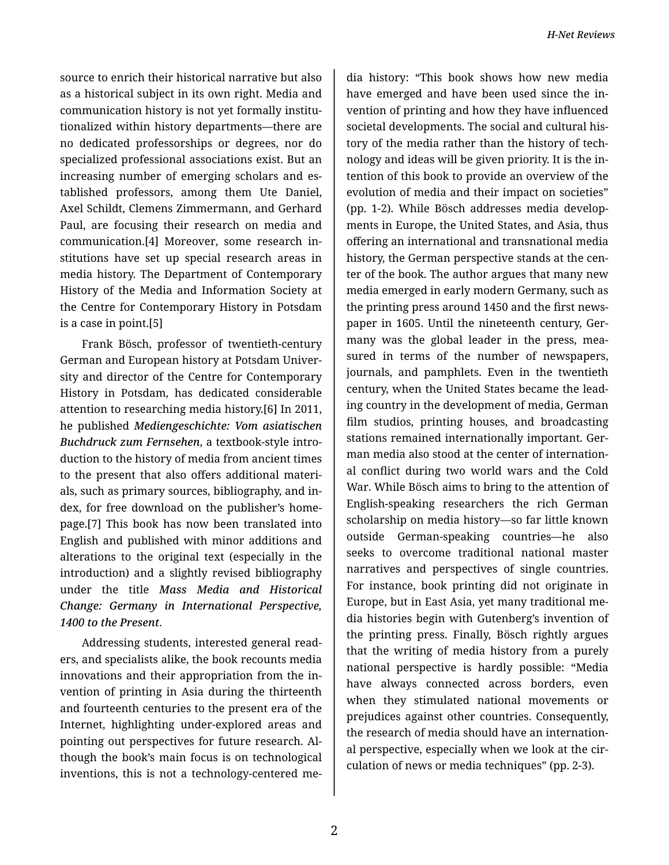source to enrich their historical narrative but also as a historical subject in its own right. Media and communication history is not yet formally institu‐ tionalized within history departments—there are no dedicated professorships or degrees, nor do specialized professional associations exist. But an increasing number of emerging scholars and es‐ tablished professors, among them Ute Daniel, Axel Schildt, Clemens Zimmermann, and Gerhard Paul, are focusing their research on media and communication.[4] Moreover, some research in‐ stitutions have set up special research areas in media history. The Department of Contemporary History of the Media and Information Society at the Centre for Contemporary History in Potsdam is a case in point.[5]

Frank Bösch, professor of twentieth-century German and European history at Potsdam Univer‐ sity and director of the Centre for Contemporary History in Potsdam, has dedicated considerable attention to researching media history.[6] In 2011, he published *Mediengeschichte: Vom asiatischen Buchdruck zum Fernsehen*, a textbook-style intro‐ duction to the history of media from ancient times to the present that also offers additional materi‐ als, such as primary sources, bibliography, and in‐ dex, for free download on the publisher's home‐ page.[7] This book has now been translated into English and published with minor additions and alterations to the original text (especially in the introduction) and a slightly revised bibliography under the title *Mass Media and Historical Change: Germany in International Perspective, 1400 to the Present*.

Addressing students, interested general read‐ ers, and specialists alike, the book recounts media innovations and their appropriation from the in‐ vention of printing in Asia during the thirteenth and fourteenth centuries to the present era of the Internet, highlighting under-explored areas and pointing out perspectives for future research. Al‐ though the book's main focus is on technological inventions, this is not a technology-centered me‐

dia history: "This book shows how new media have emerged and have been used since the in‐ vention of printing and how they have influenced societal developments. The social and cultural his‐ tory of the media rather than the history of tech‐ nology and ideas will be given priority. It is the in‐ tention of this book to provide an overview of the evolution of media and their impact on societies" (pp. 1-2). While Bösch addresses media develop‐ ments in Europe, the United States, and Asia, thus offering an international and transnational media history, the German perspective stands at the cen‐ ter of the book. The author argues that many new media emerged in early modern Germany, such as the printing press around 1450 and the first news‐ paper in 1605. Until the nineteenth century, Germany was the global leader in the press, mea‐ sured in terms of the number of newspapers, journals, and pamphlets. Even in the twentieth century, when the United States became the lead‐ ing country in the development of media, German film studios, printing houses, and broadcasting stations remained internationally important. Ger‐ man media also stood at the center of internation‐ al conflict during two world wars and the Cold War. While Bösch aims to bring to the attention of English-speaking researchers the rich German scholarship on media history—so far little known outside German-speaking countries—he also seeks to overcome traditional national master narratives and perspectives of single countries. For instance, book printing did not originate in Europe, but in East Asia, yet many traditional me‐ dia histories begin with Gutenberg's invention of the printing press. Finally, Bösch rightly argues that the writing of media history from a purely national perspective is hardly possible: "Media have always connected across borders, even when they stimulated national movements or prejudices against other countries. Consequently, the research of media should have an internation‐ al perspective, especially when we look at the cir‐ culation of news or media techniques" (pp. 2-3).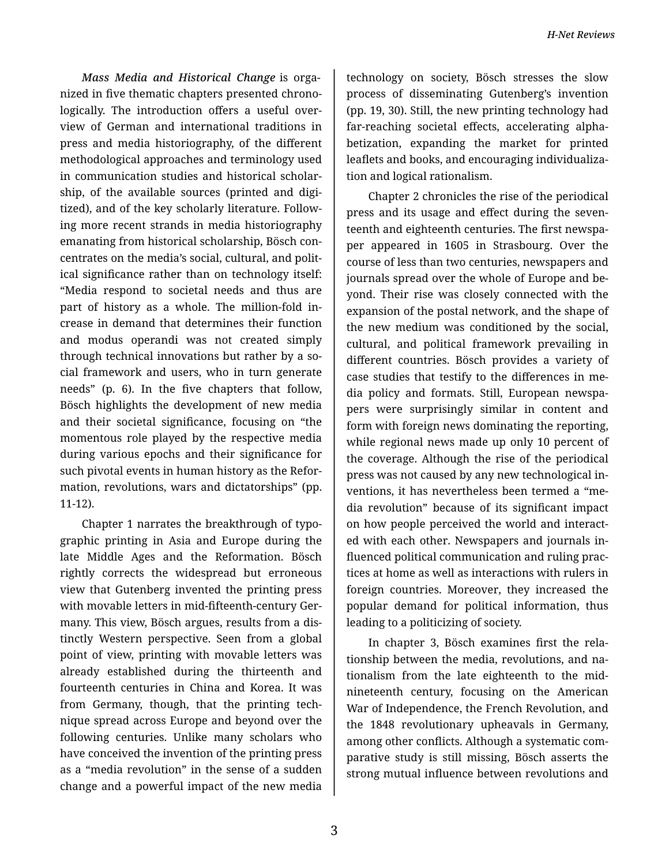*Mass Media and Historical Change* is orga‐ nized in five thematic chapters presented chrono‐ logically. The introduction offers a useful over‐ view of German and international traditions in press and media historiography, of the different methodological approaches and terminology used in communication studies and historical scholar‐ ship, of the available sources (printed and digi‐ tized), and of the key scholarly literature. Follow‐ ing more recent strands in media historiography emanating from historical scholarship, Bösch con‐ centrates on the media's social, cultural, and polit‐ ical significance rather than on technology itself: "Media respond to societal needs and thus are part of history as a whole. The million-fold in‐ crease in demand that determines their function and modus operandi was not created simply through technical innovations but rather by a so‐ cial framework and users, who in turn generate needs" (p. 6). In the five chapters that follow, Bösch highlights the development of new media and their societal significance, focusing on "the momentous role played by the respective media during various epochs and their significance for such pivotal events in human history as the Refor‐ mation, revolutions, wars and dictatorships" (pp. 11-12).

Chapter 1 narrates the breakthrough of typo‐ graphic printing in Asia and Europe during the late Middle Ages and the Reformation. Bösch rightly corrects the widespread but erroneous view that Gutenberg invented the printing press with movable letters in mid-fifteenth-century Ger‐ many. This view, Bösch argues, results from a dis‐ tinctly Western perspective. Seen from a global point of view, printing with movable letters was already established during the thirteenth and fourteenth centuries in China and Korea. It was from Germany, though, that the printing tech‐ nique spread across Europe and beyond over the following centuries. Unlike many scholars who have conceived the invention of the printing press as a "media revolution" in the sense of a sudden change and a powerful impact of the new media

technology on society, Bösch stresses the slow process of disseminating Gutenberg's invention (pp. 19, 30). Still, the new printing technology had far-reaching societal effects, accelerating alpha‐ betization, expanding the market for printed leaflets and books, and encouraging individualiza‐ tion and logical rationalism.

Chapter 2 chronicles the rise of the periodical press and its usage and effect during the seven‐ teenth and eighteenth centuries. The first newspa‐ per appeared in 1605 in Strasbourg. Over the course of less than two centuries, newspapers and journals spread over the whole of Europe and be‐ yond. Their rise was closely connected with the expansion of the postal network, and the shape of the new medium was conditioned by the social, cultural, and political framework prevailing in different countries. Bösch provides a variety of case studies that testify to the differences in me‐ dia policy and formats. Still, European newspa‐ pers were surprisingly similar in content and form with foreign news dominating the reporting, while regional news made up only 10 percent of the coverage. Although the rise of the periodical press was not caused by any new technological in‐ ventions, it has nevertheless been termed a "me‐ dia revolution" because of its significant impact on how people perceived the world and interact‐ ed with each other. Newspapers and journals in‐ fluenced political communication and ruling prac‐ tices at home as well as interactions with rulers in foreign countries. Moreover, they increased the popular demand for political information, thus leading to a politicizing of society.

In chapter 3, Bösch examines first the rela‐ tionship between the media, revolutions, and na‐ tionalism from the late eighteenth to the midnineteenth century, focusing on the American War of Independence, the French Revolution, and the 1848 revolutionary upheavals in Germany, among other conflicts. Although a systematic com‐ parative study is still missing, Bösch asserts the strong mutual influence between revolutions and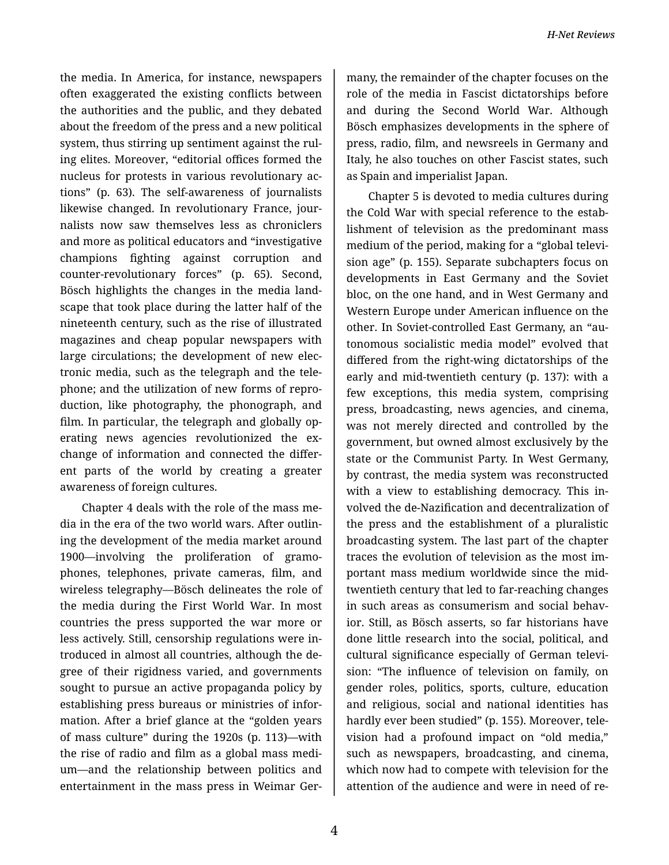the media. In America, for instance, newspapers often exaggerated the existing conflicts between the authorities and the public, and they debated about the freedom of the press and a new political system, thus stirring up sentiment against the rul‐ ing elites. Moreover, "editorial offices formed the nucleus for protests in various revolutionary ac‐ tions" (p. 63). The self-awareness of journalists likewise changed. In revolutionary France, jour‐ nalists now saw themselves less as chroniclers and more as political educators and "investigative champions fighting against corruption and counter-revolutionary forces" (p. 65). Second, Bösch highlights the changes in the media land‐ scape that took place during the latter half of the nineteenth century, such as the rise of illustrated magazines and cheap popular newspapers with large circulations; the development of new elec‐ tronic media, such as the telegraph and the tele‐ phone; and the utilization of new forms of repro‐ duction, like photography, the phonograph, and film. In particular, the telegraph and globally op‐ erating news agencies revolutionized the exchange of information and connected the differ‐ ent parts of the world by creating a greater awareness of foreign cultures.

Chapter 4 deals with the role of the mass me‐ dia in the era of the two world wars. After outlin‐ ing the development of the media market around 1900—involving the proliferation of gramo‐ phones, telephones, private cameras, film, and wireless telegraphy—Bösch delineates the role of the media during the First World War. In most countries the press supported the war more or less actively. Still, censorship regulations were in‐ troduced in almost all countries, although the de‐ gree of their rigidness varied, and governments sought to pursue an active propaganda policy by establishing press bureaus or ministries of infor‐ mation. After a brief glance at the "golden years of mass culture" during the 1920s (p. 113)—with the rise of radio and film as a global mass medi‐ um—and the relationship between politics and entertainment in the mass press in Weimar Ger‐

many, the remainder of the chapter focuses on the role of the media in Fascist dictatorships before and during the Second World War. Although Bösch emphasizes developments in the sphere of press, radio, film, and newsreels in Germany and Italy, he also touches on other Fascist states, such as Spain and imperialist Japan.

Chapter 5 is devoted to media cultures during the Cold War with special reference to the estab‐ lishment of television as the predominant mass medium of the period, making for a "global televi‐ sion age" (p. 155). Separate subchapters focus on developments in East Germany and the Soviet bloc, on the one hand, and in West Germany and Western Europe under American influence on the other. In Soviet-controlled East Germany, an "au‐ tonomous socialistic media model" evolved that differed from the right-wing dictatorships of the early and mid-twentieth century (p. 137): with a few exceptions, this media system, comprising press, broadcasting, news agencies, and cinema, was not merely directed and controlled by the government, but owned almost exclusively by the state or the Communist Party. In West Germany, by contrast, the media system was reconstructed with a view to establishing democracy. This in‐ volved the de-Nazification and decentralization of the press and the establishment of a pluralistic broadcasting system. The last part of the chapter traces the evolution of television as the most im‐ portant mass medium worldwide since the midtwentieth century that led to far-reaching changes in such areas as consumerism and social behav‐ ior. Still, as Bösch asserts, so far historians have done little research into the social, political, and cultural significance especially of German televi‐ sion: "The influence of television on family, on gender roles, politics, sports, culture, education and religious, social and national identities has hardly ever been studied" (p. 155). Moreover, tele‐ vision had a profound impact on "old media," such as newspapers, broadcasting, and cinema, which now had to compete with television for the attention of the audience and were in need of re‐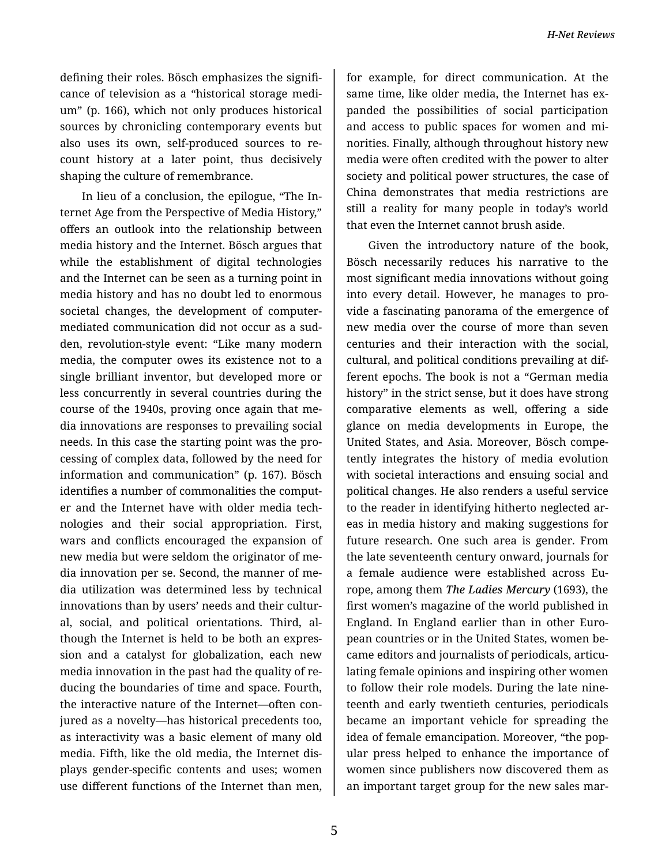defining their roles. Bösch emphasizes the signifi‐ cance of television as a "historical storage medi‐ um" (p. 166), which not only produces historical sources by chronicling contemporary events but also uses its own, self-produced sources to re‐ count history at a later point, thus decisively shaping the culture of remembrance.

In lieu of a conclusion, the epilogue, "The In‐ ternet Age from the Perspective of Media History," offers an outlook into the relationship between media history and the Internet. Bösch argues that while the establishment of digital technologies and the Internet can be seen as a turning point in media history and has no doubt led to enormous societal changes, the development of computermediated communication did not occur as a sud‐ den, revolution-style event: "Like many modern media, the computer owes its existence not to a single brilliant inventor, but developed more or less concurrently in several countries during the course of the 1940s, proving once again that me‐ dia innovations are responses to prevailing social needs. In this case the starting point was the pro‐ cessing of complex data, followed by the need for information and communication" (p. 167). Bösch identifies a number of commonalities the comput‐ er and the Internet have with older media tech‐ nologies and their social appropriation. First, wars and conflicts encouraged the expansion of new media but were seldom the originator of me‐ dia innovation per se. Second, the manner of me‐ dia utilization was determined less by technical innovations than by users' needs and their cultur‐ al, social, and political orientations. Third, al‐ though the Internet is held to be both an expres‐ sion and a catalyst for globalization, each new media innovation in the past had the quality of re‐ ducing the boundaries of time and space. Fourth, the interactive nature of the Internet—often con‐ jured as a novelty—has historical precedents too, as interactivity was a basic element of many old media. Fifth, like the old media, the Internet dis‐ plays gender-specific contents and uses; women use different functions of the Internet than men,

for example, for direct communication. At the same time, like older media, the Internet has expanded the possibilities of social participation and access to public spaces for women and mi‐ norities. Finally, although throughout history new media were often credited with the power to alter society and political power structures, the case of China demonstrates that media restrictions are still a reality for many people in today's world that even the Internet cannot brush aside.

Given the introductory nature of the book, Bösch necessarily reduces his narrative to the most significant media innovations without going into every detail. However, he manages to pro‐ vide a fascinating panorama of the emergence of new media over the course of more than seven centuries and their interaction with the social, cultural, and political conditions prevailing at dif‐ ferent epochs. The book is not a "German media history" in the strict sense, but it does have strong comparative elements as well, offering a side glance on media developments in Europe, the United States, and Asia. Moreover, Bösch compe‐ tently integrates the history of media evolution with societal interactions and ensuing social and political changes. He also renders a useful service to the reader in identifying hitherto neglected ar‐ eas in media history and making suggestions for future research. One such area is gender. From the late seventeenth century onward, journals for a female audience were established across Eu‐ rope, among them *The Ladies Mercury* (1693), the first women's magazine of the world published in England. In England earlier than in other Euro‐ pean countries or in the United States, women be‐ came editors and journalists of periodicals, articulating female opinions and inspiring other women to follow their role models. During the late nine‐ teenth and early twentieth centuries, periodicals became an important vehicle for spreading the idea of female emancipation. Moreover, "the pop‐ ular press helped to enhance the importance of women since publishers now discovered them as an important target group for the new sales mar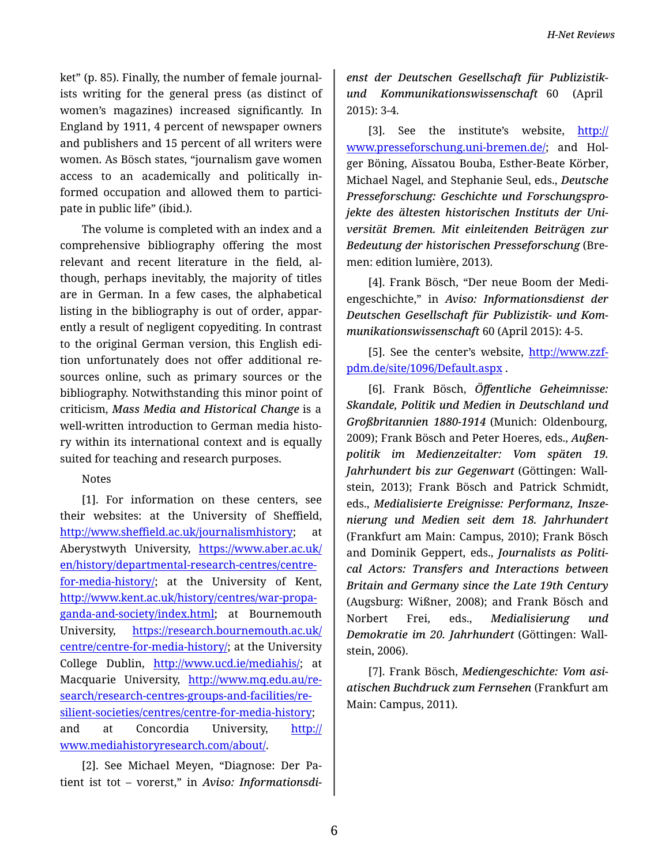ket" (p. 85). Finally, the number of female journal‐ ists writing for the general press (as distinct of women's magazines) increased significantly. In England by 1911, 4 percent of newspaper owners and publishers and 15 percent of all writers were women. As Bösch states, "journalism gave women access to an academically and politically in‐ formed occupation and allowed them to partici‐ pate in public life" (ibid.).

The volume is completed with an index and a comprehensive bibliography offering the most relevant and recent literature in the field, al‐ though, perhaps inevitably, the majority of titles are in German. In a few cases, the alphabetical listing in the bibliography is out of order, appar‐ ently a result of negligent copyediting. In contrast to the original German version, this English edi‐ tion unfortunately does not offer additional re‐ sources online, such as primary sources or the bibliography. Notwithstanding this minor point of criticism, *Mass Media and Historical Change* is a well-written introduction to German media history within its international context and is equally suited for teaching and research purposes.

## Notes

[1]. For information on these centers, see their websites: at the University of Sheffield, http://www.sheffi[eld.ac.uk/journalismhistory](http://www.sheffield.ac.uk/journalismhistory); at Aberystwyth University, [https://www.aber.ac.uk/](https://www.aber.ac.uk/en/history/departmental-research-centres/centre-for-media-history/) [en/history/departmental-research-centres/centre](https://www.aber.ac.uk/en/history/departmental-research-centres/centre-for-media-history/)[for-media-history/;](https://www.aber.ac.uk/en/history/departmental-research-centres/centre-for-media-history/) at the University of Kent, [http://www.kent.ac.uk/history/centres/war-propa](http://www.kent.ac.uk/history/centres/war-propaganda-and-society/index.html)‐ [ganda-and-society/index.html](http://www.kent.ac.uk/history/centres/war-propaganda-and-society/index.html); at Bournemouth University, [https://research.bournemouth.ac.uk/](https://research.bournemouth.ac.uk/centre/centre-for-media-history/) [centre/centre-for-media-history/](https://research.bournemouth.ac.uk/centre/centre-for-media-history/); at the University College Dublin, [http://www.ucd.ie/mediahis/;](http://www.ucd.ie/mediahis/) at Macquarie University, [http://www.mq.edu.au/re](http://www.mq.edu.au/research/research-centres-groups-and-facilities/resilient-societies/centres/centre-for-media-history)‐ [search/research-centres-groups-and-facilities/re](http://www.mq.edu.au/research/research-centres-groups-and-facilities/resilient-societies/centres/centre-for-media-history)‐ [silient-societies/centres/centre-for-media-history;](http://www.mq.edu.au/research/research-centres-groups-and-facilities/resilient-societies/centres/centre-for-media-history) and at Concordia University, [http://](http://www.mediahistoryresearch.com/about/) [www.mediahistoryresearch.com/about/](http://www.mediahistoryresearch.com/about/).

[2]. See Michael Meyen, "Diagnose: Der Pa‐ tient ist tot – vorerst," in *Aviso: Informationsdi‐*

*enst der Deutschen Gesellschaft für Publizistikund Kommunikationswissenschaft* 60 (April 2015): 3-4.

[3]. See the institute's website, [http://](http://www.presseforschung.uni-bremen.de/) [www.presseforschung.uni-bremen.de/](http://www.presseforschung.uni-bremen.de/); and Holger Böning, Aïssatou Bouba, Esther-Beate Körber, Michael Nagel, and Stephanie Seul, eds., *Deutsche Presseforschung: Geschichte und Forschungspro‐ jekte des ältesten historischen Instituts der Uni‐ versität Bremen. Mit einleitenden Beiträgen zur Bedeutung der historischen Presseforschung* (Bre‐ men: edition lumière, 2013).

[4]. Frank Bösch, "Der neue Boom der Medi‐ engeschichte," in *Aviso: Informationsdienst der Deutschen Gesellschaft für Publizistik- und Kom‐ munikationswissenschaft* 60 (April 2015): 4-5.

[5]. See the center's website, [http://www.zzf](http://www.zzf-pdm.de/site/1096/Default.aspx)[pdm.de/site/1096/Default.aspx](http://www.zzf-pdm.de/site/1096/Default.aspx) .

[6]. Frank Bösch, *Öffentliche Geheimnisse: Skandale, Politik und Medien in Deutschland und Großbritannien 1880-1914* (Munich: Oldenbourg, 2009); Frank Bösch and Peter Hoeres, eds., *Außen‐ politik im Medienzeitalter: Vom späten 19. Jahrhundert bis zur Gegenwart* (Göttingen: Wall‐ stein, 2013); Frank Bösch and Patrick Schmidt, eds., *Medialisierte Ereignisse: Performanz, Insze‐ nierung und Medien seit dem 18. Jahrhundert* (Frankfurt am Main: Campus, 2010); Frank Bösch and Dominik Geppert, eds., *Journalists as Politi‐ cal Actors: Transfers and Interactions between Britain and Germany since the Late 19th Century* (Augsburg: Wißner, 2008); and Frank Bösch and Norbert Frei, eds., *Medialisierung und Demokratie im 20. Jahrhundert* (Göttingen: Wall‐ stein, 2006).

[7]. Frank Bösch, *Mediengeschichte: Vom asi‐ atischen Buchdruck zum Fernsehen* (Frankfurt am Main: Campus, 2011).